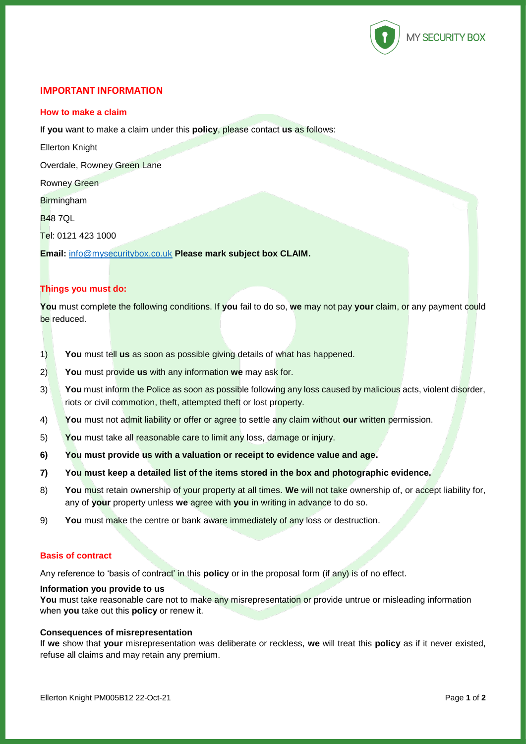

# **IMPORTANT INFORMATION**

### **How to make a claim**

If **you** want to make a claim under this **policy**, please contact **us** as follows:

Ellerton Knight

Overdale, Rowney Green Lane

Rowney Green

**Birmingham** 

B48 7QL

Tel: 0121 423 1000

**Email:** [info@mysecuritybox.co.uk](mailto:info@mysecuritybox.co.uk) **Please mark subject box CLAIM.**

# **Things you must do:**

**You** must complete the following conditions. If **you** fail to do so, **we** may not pay **your** claim, or any payment could be reduced.

- 1) **You** must tell **us** as soon as possible giving details of what has happened.
- 2) **You** must provide **us** with any information **we** may ask for.
- 3) **You** must inform the Police as soon as possible following any loss caused by malicious acts, violent disorder, riots or civil commotion, theft, attempted theft or lost property.
- 4) **You** must not admit liability or offer or agree to settle any claim without **our** written permission.
- 5) **You** must take all reasonable care to limit any loss, damage or injury.
- **6) You must provide us with a valuation or receipt to evidence value and age.**
- **7) You must keep a detailed list of the items stored in the box and photographic evidence.**
- 8) **You** must retain ownership of your property at all times. **We** will not take ownership of, or accept liability for, any of **your** property unless **we** agree with **you** in writing in advance to do so.
- 9) **You** must make the centre or bank aware immediately of any loss or destruction.

### **Basis of contract**

Any reference to 'basis of contract' in this **policy** or in the proposal form (if any) is of no effect.

## **Information you provide to us**

You must take reasonable care not to make any misrepresentation or provide untrue or misleading information when **you** take out this **policy** or renew it.

#### **Consequences of misrepresentation**

If **we** show that **your** misrepresentation was deliberate or reckless, **we** will treat this **policy** as if it never existed, refuse all claims and may retain any premium.